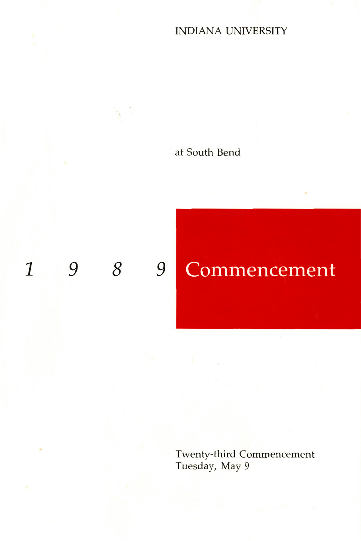## INDIANA UNIVERSITY

## at South Bend

## 1 9 *8* 9

# Commencement

Twenty-third Commencement Tuesday, May 9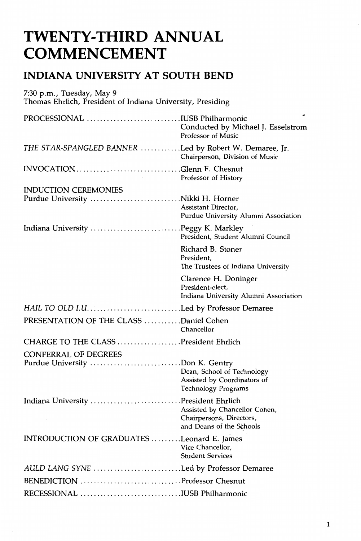## **TWENTY-THIRD ANNUAL COMMENCEMENT**

## **INDIANA UNIVERSITY AT SOUTH BEND**

| 7:30 p.m., Tuesday, May 9<br>Thomas Ehrlich, President of Indiana University, Presiding |                                                                                       |
|-----------------------------------------------------------------------------------------|---------------------------------------------------------------------------------------|
| PROCESSIONAL IUSB Philharmonic                                                          | Conducted by Michael J. Esselstrom<br>Professor of Music                              |
| THE STAR-SPANGLED BANNER Led by Robert W. Demaree, Jr.                                  | Chairperson, Division of Music                                                        |
| INVOCATION Glenn F. Chesnut                                                             | Professor of History                                                                  |
| <b>INDUCTION CEREMONIES</b>                                                             |                                                                                       |
|                                                                                         | Assistant Director.<br>Purdue University Alumni Association                           |
| Indiana University Peggy K. Markley                                                     | President, Student Alumni Council                                                     |
|                                                                                         | Richard B. Stoner<br>President,<br>The Trustees of Indiana University                 |
|                                                                                         | Clarence H. Doninger<br>President-elect,<br>Indiana University Alumni Association     |
| HAIL TO OLD I.ULed by Professor Demaree                                                 |                                                                                       |
| PRESENTATION OF THE CLASS Daniel Cohen                                                  | Chancellor                                                                            |
| CHARGE TO THE CLASS President Ehrlich                                                   |                                                                                       |
| <b>CONFERRAL OF DEGREES</b>                                                             |                                                                                       |
| Purdue University Don K. Gentry                                                         | Dean, School of Technology<br>Assisted by Coordinators of<br>Technology Programs      |
| Indiana University President Ehrlich                                                    | Assisted by Chancellor Cohen,<br>Chairpersons, Directors,<br>and Deans of the Schools |
| INTRODUCTION OF GRADUATES Leonard E. James                                              | Vice Chancellor,<br><b>Student Services</b>                                           |
| AULD LANG SYNE Led by Professor Demaree                                                 |                                                                                       |
| BENEDICTION Professor Chesnut                                                           |                                                                                       |
| RECESSIONAL IUSB Philharmonic                                                           |                                                                                       |
|                                                                                         |                                                                                       |

1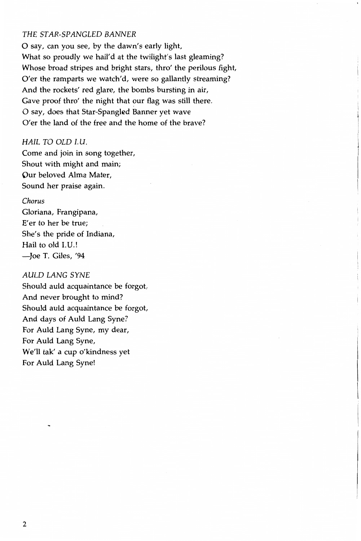#### THE STAR-SPANGLED BANNER

0 say, can you see, by the dawn's early light, What so proudly we hail'd at the twilight's last gleaming? Whose broad stripes and bright stars, thro' the perilous fight, O'er the ramparts we watch'd, were so gallantly streaming? And the rockets' red glare, the bombs bursting in air, Gave proof thro' the night that our flag was still there. O say, does that Star-Spangled Banner yet wave O'er the land of the free and the home of the brave?

#### HAIL TO OLD I.U.

Come and join in song together, Shout with might and main; Our beloved Alma Mater, Sound her praise again.

#### *Chorus*

Gloriana, Frangipana, E'er to her be true; She's the pride of Indiana, Hail to old I.U.! -Joe T. Giles, '94

#### AULD LANG SYNE

Should auld acquaintance be forgot, And never brought to mind? Should auld acquaintance be forgot, And days of Auld Lang Syne? For Auld Lang Syne, my dear, For Auld Lang Syne, We'll tak' a cup o'kindness yet For Auld Lang Syne!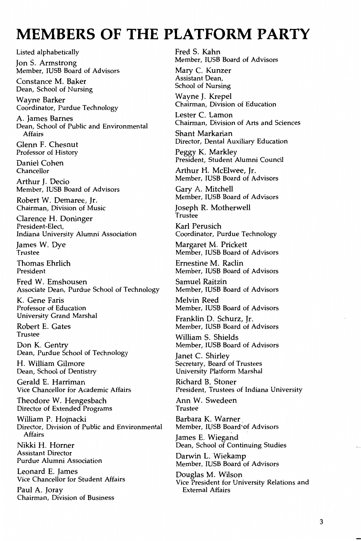## **MEMBERS OF THE PLATFORM PARTY**

Listed alphabetically

Jon S. Armstrong Member, IUSB Board of Advisors

Constance M. Baker Dean, School of Nursing

Wayne Barker Coordinator, Purdue Technology

A. James Barnes Dean, School of Public and Environmental Affairs

Glenn F. Chesnut Professor of History

Daniel Cohen Chancellor

Arthur J. Decio Member, IUSB Board of Advisors

Robert W. Demaree, Jr. Chairman, Division of Music

Clarence H. Doninger President-Elect, Indiana University Alumni Association

James W. Dye .<br>Trustee

Thomas Ehrlich President

Fred W. Emshousen Associate Dean, Purdue School of Technology

K. Gene Faris Professor of Education University Grand Marshal

Robert E. Gates Trustee

Don K. Gentry Dean, Purdue School of Technology

H. William Gilmore Dean, School of Dentistry

Gerald E. Harriman Vice Chancellor for Academic Affairs

Theodore W. Hengesbach Director of Extended Programs

William P. Hojnacki Director, Division of Public and Environmental Affairs

Nikki H. Horner Assistant Director Purdue Alumni Association

Leonard E. James Vice Chancellor for Student Affairs

Paul A. Joray Chairman, Division of Business Fred S. Kahn Member, IUSB Board of Advisors

Mary C. Kunzer Assistant Dean, School of Nursing

Wayne J. Krepel Chairman, Division of Education

Lester C. Lamon Chairman, Division of Arts and Sciences

Shant Markarian Director, Dental Auxiliary Education

Peggy K. Markley President, Student Alumni Council

Arthur H. McElwee, Jr. Member, IUSB Board of Advisors

Gary A. Mitchell Member, IUSB Board of Advisors

Joseph R. Motherwell Trustee

Karl Perusich Coordinator, Purdue Technology

Margaret M. Prickett Member, IUSB Board of Advisors

Ernestine M. Radin Member, IUSB Board of Advisors

Samuel Raitzin Member, IUSB Board of Advisors

Melvin Reed Member, IUSB Board of Advisors

Franklin D. Schurz, Jr. Member, IUSB Board of Advisors

William S. Shields Member, IUSB Board of Advisors

Janet C. Shirley Secretary, Board of Trustees University Platform Marshal

Richard B. Stoner President, Trustees of Indiana University

Ann W. Swedeen Trustee

Barbara K. Warner<br>Member, IUSB Board`of Advisors

James E. Wiegand Dean, School of Continuing Studies

Darwin L. Wiekamp Member, IUSB Board of Advisors

Douglas M. Wilson Vice President for University Relations and External Affairs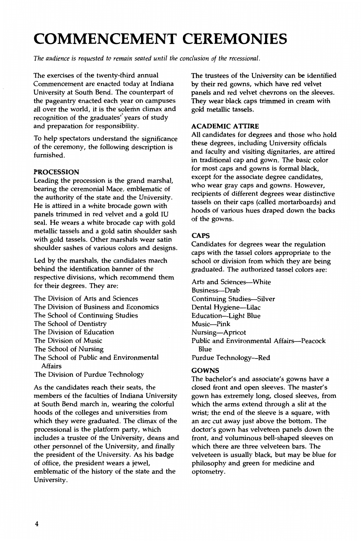## **COMMENCEMENT CEREMONIES**

*The audience* is *requested to remain seated until the conclusion of the recessional.* 

The exercises of the twenty-third annual Commencement are enacted today at Indiana University at South Bend. The counterpart of the pageantry enacted each year on campuses all over the world, it is the solerim climax and recognition of the graduates' years of study and preparation for responsibility.

To help spectators understand the significance of the ceremony, the following description is furnished.

#### PROCESSION

Leading the procession is the grand marshal, bearing the ceremonial Mace, emblematic of the authority of the state and the University. He is attired in a white brocade gown with panels trimmed in red velvet and a gold IU seal. He wears a white brocade cap with gold metallic tassels and a gold satin shoulder sash with gold tassels. Other marshals wear satin shoulder sashes of various colors and designs.

Led by the marshals, the candidates march behind the identification banner of the respective divisions, which recommend them for their degrees. They are:

- The Division of Arts and Sciences The Division of Business and Economics The School of Continuing Studies The School of Dentistry The Division of Education The Division of Music The School of Nursing The School of Public and Environmental Affairs
- The Division of Purdue Technology

As the candidates reach their seats, the members of the faculties of Indiana University at South Bend march in, wearing the colorful hoods of the colleges and universities from which they were graduated. The climax of the processional is the platform party, which includes a trustee of the University, deans and other personnel of the University, and finally the president of the University. As his badge of office, the president wears a jewel, emblematic of the history of the state and the University.

The trustees of the University can be identified by their red gowns, which have red velvet panels and red velvet chevrons on the sleeves. They wear black caps trimmed in cream with gold metallic tassels.

#### ACADEMIC ATTIRE

All candidates for degrees and those who hold these degrees, including University officials and faculty and visiting dignitaries, are attired in traditional cap and gown. The basic color for most caps and gowns is formal black, except for the associate degree candidates, who wear gray caps and gowns. However, recipients of different degrees wear distinctive tassels on their caps (called mortarboards) and hoods of various hues draped down the backs of the gowns.

#### **CAPS**

Candidates for degrees wear the regulation caps with the tassel colors appropriate to the school or division from which they are being graduated. The authorized tassel colors are:

Arts and Sciences--- White Business-Drab Continuing Studies-Silver Dental Hygiene-Lilac Education-Light Blue Music-Pink Nursing-Apricot Public and Environmental Affairs-Peacock Blue Purdue Technology-Red

#### GOWNS

The bachelor's and associate's gowns have a closed front and open sleeves. The master's gown has extremely long, closed sleeves, from which the arms extend through a slit at the wrist; the end of the sleeve is a square, with an arc cut away just above the bottom. The doctor's gown has velveteen panels down the front, and voluminous bell-shaped sleeves on which there are three velveteen bars. The velveteen is usually black, but may be blue for philosophy and green for medicine and optometry.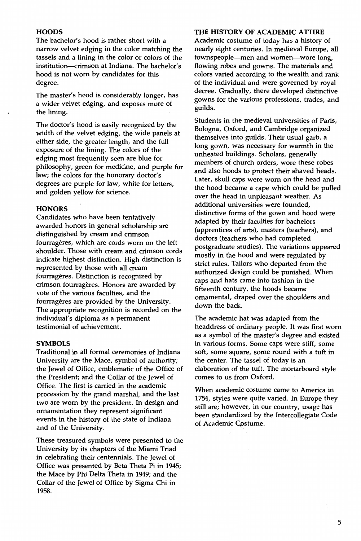#### **HOODS**

The bachelor's hood is rather short with a narrow velvet edging in the color matching the tassels and a lining in the color or colors of the institution--crimson at Indiana. The bachelor's hood is not worn by candidates for this degree.

The master's hood is considerably longer, has a wider velvet edging, and exposes more of the lining.

The doctor's hood is easily recognized by the width of the velvet edging, the wide panels at either side, the greater length, and the full exposure of the lining. The colors of the edging most frequently seen are blue for philosophy, green for medicine, and purple for law; the colors for the honorary doctor's degrees are purple for law, white for letters, and golden yellow for science.

#### **HONORS**

Candidates who have been tentatively awarded honors in general scholarship are distinguished by cream and crimson fourrageres, which are cords worn on the left shoulder. Those with cream and crimson cords indicate highest distinction. High distinction is represented by those with all cream fourrageres. Distinction is recognized by crimson fourragères. Honors are awarded by vote of the various faculties, and the fourragères are provided by the University. The appropriate recognition is recorded on the individual's diploma as a permanent testimonial of achievement.

#### **SYMBOLS**

Traditional in all formal ceremonies of Indiana University are the Mace, symbol of authority; the Jewel of Office, emblematic of the Office of the President; and the Collar of the Jewel of Office. The first is carried in the academic procession by the grand marshal, and the last two are worn by the president. In design and ornamentation they represent significant events in the history of the state of Indiana and of the University.

These treasured symbols were presented to the University by its chapters of the Miami Triad in celebrating their centennials. The Jewel of Office was presented by Beta Theta Pi in 1945; the Mace by Phi Delta Theta in 1949; and the Collar of the Jewel of Office by Sigma Chi in 1958.

#### **THE HISTORY OF ACADEMIC ATTIRE**

Academic costume of today has a history of nearly eight centuries. In medieval Europe, all townspeople--men and women--wore long, flowing robes and gowns. The materials and colors varied according to the wealth and rank of the individual and were governed by royal decree. Gradually, there developed distinctive gowns for the various professions, trades, and guilds.

Students in the medieval universities of Paris, Bologna, Oxford, and Cambridge organized themselves into guilds. Their usual garb, a long gown, was necessary for warmth in the unheated buildings. Scholars, generally members of church orders, wore these robes and also hoods to protect their shaved heads. Later, skull caps were worn on the head and the hood became a cape which could be pulled over the head in unpleasant weather. As additional universities were founded, distinctive forms of the gown and hood were adapted by their faculties for bachelors (apprentices of arts), masters (teachers), and doctors (teachers who had completed postgraduate studies). The variations appeared mostly in the hood and were regulated by strict rules. Tailors who departed from the authorized design could be punished. When caps and hats came into fashion in the fifteenth century, the hoods became ornamental, draped over the shoulders and down the back.

The academic hat was adapted from the headdress of ordinary people. It was first worn as a symbol of the master's degree and existed in various forms. Some caps were stiff, some soft, some square, some round with a tuft in the center. The tassel of today is an elaboration of the tuft. The mortarboard style comes to us from Oxford.

When academic costume came to America in 1754, styles were quite varied. In Europe they still are; however, in our country, usage has been standardized by the Intercollegiate Code of Academic Cpstume.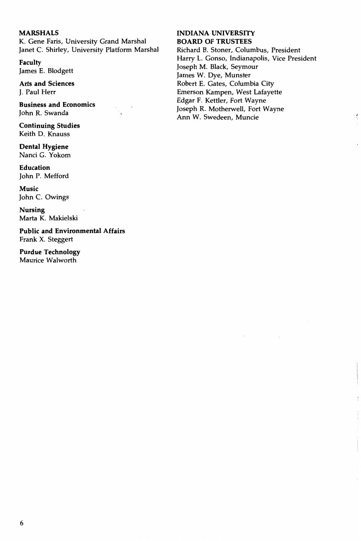#### **MARSHALS**

K. Gene Faris, University Grand Marshal Janet C. Shirley, University Platform Marshal

**Faculty**  James E. Blodgett

**Arts and Sciences**  J. Paul Herr

**Business and Economics**  John R. Swanda

**Continuing Studies**  Keith D. Knauss

**Dental Hygiene**  Nanci G. Yokom

**Education**  John P. Mefford

**Music**  John C. Owings

**Nursing**  Marta K. Makielski

**Public and Environmental Affairs**  Frank X. Steggert

**Purdue Technology**  Maurice Walworth

#### **INDIANA UNIVERSITY BOARD OF TRUSTEES**

Richard B. Stoner, Columbus, President Harry L. Gonso, Indianapolis, Vice President Joseph M. Black, Seymour James W. Dye, Munster Robert E. Gates, Columbia City Emerson Kampen, West Lafayette Edgar F. Kettler, Fort Wayne Joseph R. Motherwell, Fort Wayne Ann W. Swedeen, Muncie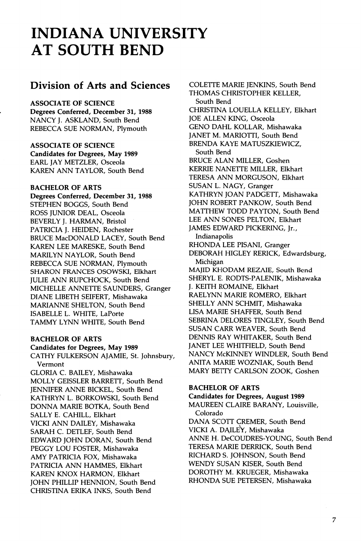## **INDIANA UNIVERSITY AT SOUTH BEND**

### **Division of Arts and Sciences**

ASSOCIATE OF SCIENCE

Degrees Conferred, December 31, 1988 NANCY J. ASKLAND, South Bend REBECCA SUE NORMAN, Plymouth

ASSOCIATE OF SCIENCE Candidates for Degrees, May 1989 EARL JAY METZLER, Osceola KAREN ANN TAYLOR, South Bend

#### BACHELOR OF ARTS

Degrees Conferred, December 31, 1988 STEPHEN BOGGS, South Bend ROSS JUNIOR DEAL, Osceola BEVERLY J. HARMAN, Bristol PATRICIA J. HEIDEN, Rochester BRUCE MacDONALD LACEY, South Bend KAREN LEE MARESKE, South Bend MARILYN NAYLOR, South Bend REBECCA SUE NORMAN, Plymouth SHARON FRANCES OSOWSKI, Elkhart JULIE ANN RUPCHOCK, South Bend MICHELLE ANNETTE SAUNDERS, Granger DIANE LIBETH SEIFERT, Mishawaka MARIANNE SHELTON, South Bend ISABELLE L. WHITE, LaPorte TAMMY LYNN WHITE, South Bend

#### BACHELOR OF ARTS

Candidates for Degrees, May 1989 CATHY FULKERSON AJAMIE, St. Johnsbury, Vermont GLORIA C. BAILEY, Mishawaka MOLLY GEISSLER BARRETT, South Bend JENNIFER ANNE BICKEL, South Bend KATHRYN L. BORKOWSKI, South Bend DONNA MARIE BOTKA, South Bend SALLY E. CAHILL, Elkhart VICKI ANN DAILEY, Mishawaka SARAH C. DETLEF, South Bend EDWARD JOHN DORAN, South Bend PEGGY LOU FOSTER, Mishawaka AMY PATRICIA FOX, Mishawaka PATRICIA ANN HAMMES, Elkhart KAREN KNOX HARMON, Elkhart JOHN PHILLIP HENNION, South Bend CHRISTINA ERIKA INKS, South Bend

COLETTE MARIE JENKINS, South Bend THOMAS CHRISTOPHER KELLER, South Bend CHRISTINA LOUELLA KELLEY, Elkhart JOE ALLEN KING, Osceola GENO DAHL KOLLAR, Mishawaka JANET M. MARIOTTI, South Bend BRENDA KAYE MATUSZKIEWICZ, South Bend BRUCE ALAN MILLER, Goshen KERRIE NANETTE MILLER, Elkhart TERESA ANN MORGUSON, Elkhart SUSAN L. NAGY, Granger KATHRYN JOAN PADGETT, Mishawaka JOHN ROBERT PANKOW, South Bend MATTHEW TODD PAYTON, South Bend LEE ANN SONES PELTON, Elkhart JAMES EDWARD PICKERING, Jr., Indianapolis RHONDA LEE PISANI, Granger DEBORAH HIGLEY RERICK, Edwardsburg, Michigan MAJID KHODAM REZAIE, South Bend SHERYL E. RODTS-PALENIK, Mishawaka J. KEITH ROMAINE, Elkhart RAELYNN MARIE ROMERO, Elkhart SHELLY ANN SCHMIT, Mishawaka LISA MARIE SHAFFER, South Bend SEBRINA DELORES TINGLEY, South Bend SUSAN CARR WEAVER, South Bend DENNIS RAY WHITAKER, South Bend JANET LEE WHITFIELD, South Bend NANCY McKINNEY WINDLER, South Bend ANITA MARIE WOZNIAK, South Bend MARY BETTY CARLSON ZOOK, Goshen

#### BACHELOR OF ARTS

Candidates for Degrees, August 1989 MAUREEN CLAIRE BARANY, Louisville, Colorado DANA SCOTT CREMER, South Bend VICKI A. DAILEY, Mishawaka ANNE H. DeCOUDRES-YOUNG, South Bend TERESA MARIE DERRICK, South Bend RICHARD S. JOHNSON, South Bend WENDY SUSAN KISER, South Bend DOROTHY M. KRUEGER, Mishawaka RHONDA SUE PETERSEN, Mishawaka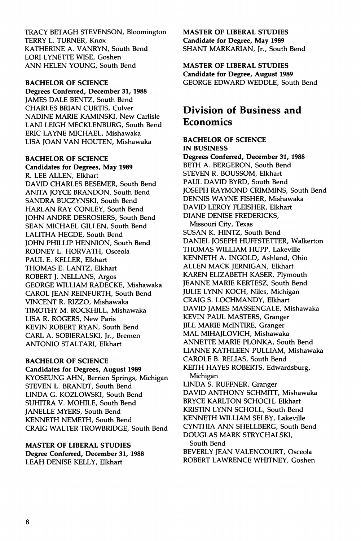TRACY BETAGH STEVENSON, Bloomington TERRY L. TURNER, Knox KATHERINE A. VANRYN, South Bend LORI LYNETTE WISE, Goshen ANN HELEN YOUNG, South Bend

#### BACHELOR OF SCIENCE

Degrees Conferred, December 31, 1988 JAMES DALE BENTZ, South Bend CHARLES BRIAN CURTIS, Culver NADINE MARIE KAMINSKI, New Carlisle LANI LEIGH MECKLENBURG, South Bend ERIC LAYNE MICHAEL, Mishawaka LISA JOAN VAN HOUTEN, Mishawaka

#### BACHELOR OF SCIENCE

Candidates for Degrees, May 1989 R. LEE ALLEN, Elkhart DAVID CHARLES BESEMER, South Bend ANITA JOYCE BRANDON, South Bend SANDRA BUCZYNSKI, South Bend HARLAN RAY CONLEY, South Bend JOHN ANDRE DESROSIERS, South Bend SEAN MICHAEL GILLEN, South Bend LALITHA HEGDE, South Bend JOHN PHILLIP HENNION, South Bend RODNEY L. HORVATH, Osceola PAUL E. KELLER, Elkhart THOMAS E. LANTZ, Elkhart ROBERT J. NELLANS, Argos GEORGE WILLIAM RADECKE, Mishawaka CAROL JEAN REINFURTH, South Bend VINCENT R. RIZZO, Mishawaka TIMOTHY M. ROCKHILL, Mishawaka LISA R. ROGERS, New Paris KEVIN ROBERT RYAN, South Bend CARL A. SOBIERALSKI, Jr., Bremen ANTONIO STALTARI, Elkhart

#### BACHELOR OF SCIENCE

#### Candidates for Degrees, August 1989

KYOSEUNG AHN, Berrien Springs, Michigan STEVEN L. BRANDT, South Bend LINDA G. KOZLOWSKI, South Bend SUHITRA V. MOHILE, South Bend JANELLE MYERS, South Bend KENNETH NEMETH, South Bend CRAIG WALTER TROWBRIDGE, South Bend

#### MASTER OF LIBERAL STUDIES

Degree Conferred, December 31, 1988 LEAH DENISE KELLY, Elkhart

#### MASTER OF LIBERAL STUDIES Candidate for Degree, May 1989 SHANT MARKARIAN, Jr., South Bend

#### MASTER OF LIBERAL STUDIES

Candidate for Degree, August 1989 GEORGE EDWARD WEDDLE, South Bend

## **Division of Business and Economics**

### BACHELOR OF SCIENCE IN BUSINESS Degrees Conferred, December 31, 1988

BETH A. BERGERON, South Bend STEVEN R. BOUSSOM, Elkhart PAUL DAVID BYRD, South Bend JOSEPH RAYMOND CRIMMINS, South Bend DENNIS WAYNE FISHER, Mishawaka DAVID LEROY FLEISHER, Elkhart DIANE DENISE FREDERICKS, Missouri City, Texas SUSAN K. HINTZ, South Bend DANIEL JOSEPH HUFFSTETTER, Walkerton THOMAS WILLIAM HUPP, Lakeville KENNETH A. INGOLD, Ashland, Ohio ALLEN MACK JERNIGAN, Elkhart KAREN ELIZABETH KASER, Plymouth JEANNE MARIE KERTESZ, South Bend JULIE LYNN KOCH, Niles, Michigan CRAIG S. LOCHMANDY, Elkhart DAVID JAMES MASSENGALE, Mishawaka KEVIN PAUL MASTERS, Granger JILL MARIE MciNTIRE, Granger MAL MIHAJLOVICH, Mishawaka ANNETTE MARIE PLONKA, South Bend LIANNE KATHLEEN PULLIAM, Mishawaka CAROLE B. RELIAS, South Bend KEITH HAYES ROBERTS, Edwardsburg, Michigan LINDA S. RUFFNER, Granger DAVID ANTHONY SCHMITT, Mishawaka BRYCE KARLTON SCHOCH, Elkhart KRISTIN LYNN SCHOLL, South Bend KENNETH WILLIAM SELBY, Lakeville CYNTHIA ANN SHELLBERG, South Bend DOUGLAS MARK STRYCHALSKI, South Bend BEVERLY JEAN VALENCOURT, Osceola ROBERT LAWRENCE WHITNEY, Goshen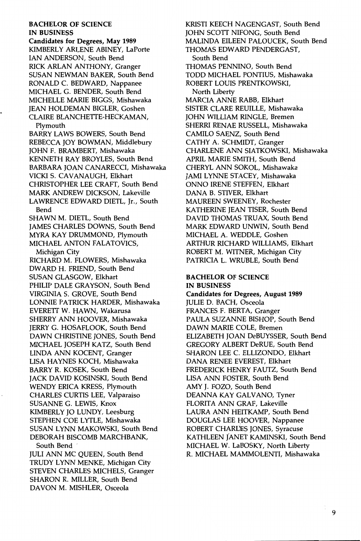#### BACHELOR OF SCIENCE IN BUSINESS

Candidates for Degrees, May 1989 KIMBERLY ARLENE ABINEY, LaPorte IAN ANDERSON, South Bend RICK ARLAN ANTHONY, Granger SUSAN NEWMAN BAKER, South Bend RONALD C. BEDWARD, Nappanee MICHAEL G. BENDER, South Bend MICHELLE MARIE BIGGS, Mishawaka JEAN HOLDEMAN BIGLER, Goshen CLAIRE BLANCHETTE-HECKAMAN, Plymouth BARRY LAWS BOWERS, South Bend REBECCA JOY BOWMAN, Middlebury JOHN F. BRAMBERT, Mishawaka KENNETH RAY BROYLES, South Bend BARBARA JOAN CANARECCI, Mishawaka VICKI S. CAVANAUGH, Elkhart CHRISTOPHER LEE CRAFT, South Bend MARK ANDREW DICKSON, Lakeville LAWRENCE EDWARD DIETL, Jr., South Bend SHAWN M. DIETL, South Bend JAMES CHARLES DOWNS, South Bend MYRA KAY DRUMMOND, Plymouth MICHAEL ANTON FALATOVICS, Michigan City RICHARD M. FLOWERS, Mishawaka DWARD H. FRIEND, South Bend SUSAN GLASGOW, Elkhart PHILIP DALE GRAYSON, South Bend VIRGINIA S. GROVE, South Bend LONNIE PATRICK HARDER, Mishawaka EVERETT W. HAWN, Wakarusa SHERRY ANN HOOVER, Mishawaka JERRY G. HOSAFLOOK, South Bend DAWN CHRISTINE JONES, South Bend MICHAEL JOSEPH KATZ, South Bend LINDA ANN KOCENT, Granger LISA HAYNES KOCH, Mishawaka BARRY R. KOSEK, South Bend JACK DAVID KOSINSKI, South Bend WENDY ERICA KRESS, Plymouth CHARLES CURTIS LEE, Valparaiso SUSANNE G. LEWIS, Knox KIMBERLY JO LUNDY, Leesburg STEPHEN COE LYTLE, Mishawaka SUSAN LYNN MAKOWSKI, South Bend DEBORAH BISCOMB MARCHBANK, South Bend ·

JULI ANN MC QUEEN, South Bend TRUDY LYNN MENKE, Michigan City STEVEN CHARLES MICHELS, Granger SHARON R. MILLER, South Bend DAVON M. MISHLER, Osceola

KRIST! KEECH NAGENGAST, South Bend JOHN SCOTT NIFONG, South Bend MALINDA EILEEN PALOUCEK, South Bend THOMAS EDWARD PENDERGAST, South Bend THOMAS PENNINO, South Bend TODD MICHAEL PONTIUS, Mishawaka ROBERT LOUIS PRENTKOWSKI, North Liberty MARCIA ANNE RABB, Elkhart SISTER CLARE REVILLE, Mishawaka JOHN WILLIAM RINGLE, Bremen SHERR! RENAE RUSSELL, Mishawaka CAMILO SAENZ, South Bend CATHY A. SCHMIDT, Granger CHARLENE ANN SIATKOWSKI, Mishawaka APRIL MARIE SMITH, South Bend CHERYL ANN SOKOL, Mishawaka JAMI LYNNE STACEY, Mishawaka ONNO IRENE STEFFEN, Elkhart DANA B. STIVER, Elkhart MAUREEN SWEENEY, Rochester KATHERINE JEAN TISER, South Bend DAVID THOMAS TRUAX, South Bend MARK EDWARD UNWIN, South Bend MICHAEL A. WEDDLE, Goshen ARTHUR RICHARD WILLIAMS, Elkhart ROBERT M. WITNER, Michigan City PATRICIA L. WRUBLE, South Bend

#### BACHELOR OF SCIENCE IN BUSINESS

Candidates for Degrees, August 1989 JULIE D. BACH, Osceola FRANCES F. BERTA, Granger PAULA SUZANNE BISHOP, South Bend DAWN MARIE COLE, Bremen ELIZABETH JOAN DeBUYSSER, South Bend GREGORY ALBERT DeRUE, South Bend SHARON LEE C. ELLIZONDO, Elkhart DANA RENEE EVEREST, Elkhart FREDERICK HENRY FAUTZ, South Bend LISA ANN FOSTER, South Bend AMY J. FOZO, South Bend DEANNA KAY CALVANO, Tyner FLORITA ANN GRAF, Lakeville LAURA ANN HEITKAMP, South Bend DOUGLAS LEE HOOVER, Nappanee ROBERT CHARL'ES JONES, Syracuse KATHLEEN JANET KAMINSKI, South Bend MICHAEL W. LaBOSKY, North Liberty R. MICHAEL MAMMOLENTI, Mishawaka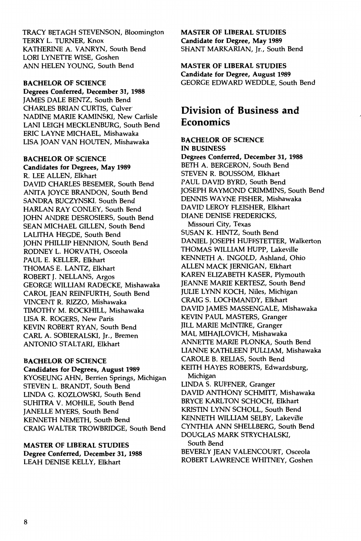TRACY BETAGH STEVENSON, Bloomington TERRY L. TURNER, Knox KATHERINE A. VANRYN, South Bend LORI LYNETTE WISE, Goshen ANN HELEN YOUNG, South Bend

#### BACHELOR OF SCIENCE

Degrees Conferred, December 31, 1988 JAMES DALE BENTZ, South Bend CHARLES BRIAN CURTIS, Culver· NADINE MARIE KAMINSKI, New Carlisle LAN! LEIGH MECKLENBURG, South Bend ERIC LAYNE MICHAEL, Mishawaka LISA JOAN VAN HOUTEN, Mishawaka

#### BACHELOR OF SCIENCE

Candidates for Degrees, May 1989 R. LEE ALLEN, Elkhart DAVID CHARLES BESEMER, South Bend ANITA JOYCE BRANDON, South Bend SANDRA BUCZYNSKI, South Bend HARLAN RAY CONLEY, South Bend JOHN ANDRE DESROSIERS, South Bend SEAN MICHAEL GILLEN, South Bend LALITHA HEGDE, South Bend JOHN PHILLIP HENNION, South Bend RODNEY L. HORVATH, Osceola PAUL E. KELLER, Elkhart THOMAS E. LANTZ, Elkhart ROBERT J. NELLANS, Argos GEORGE WILLIAM RADECKE, Mishawaka CAROL JEAN REINFURTH, South Bend VINCENT R. RIZZO, Mishawaka TIMOTHY M. ROCKHILL, Mishawaka LISA R. ROGERS, New Paris KEVIN ROBERT RYAN, South Bend CARL A. SOBIERALSKI, Jr., Bremen ANTONIO STALTARI, Elkhart

#### BACHELOR OF SCIENCE

Candidates for Degrees, August 1989 KYOSEUNG AHN, Berrien Springs, Michigan STEVEN L. BRANDT, South Bend LINDA G. KOZLOWSKI, South Bend SUHITRA V. MOHILE, South Bend JANELLE MYERS, South Bend KENNETH NEMETH, South Bend CRAIG WALTER TROWBRIDGE, South Bend

MASTER OF LIBERAL STUDIES Degree Conferred, December 31, 1988 LEAH DENISE KELLY, Elkhart

#### MASTER OF LIBERAL STUDIES Candidate for Degree, May 1989 SHANT MARKARIAN, Jr., South Bend

MASTER OF LIBERAL STUDIES

Candidate for Degree, August 1989 GEORGE EDWARD WEDDLE, South Bend

## **Division of Business and Economics**

#### BACHELOR OF SCIENCE IN BUSINESS

Degrees Conferred, December 31, 1988 BETH A. BERGERON, South Bend STEVEN R. BOUSSOM, Elkhart PAUL DAVID BYRD, South Bend JOSEPH RAYMOND CRIMMINS, South Bend DENNIS WAYNE FISHER, Mishawaka DAVID LEROY FLEISHER, Elkhart DIANE DENISE FREDERICKS, Missouri City, Texas SUSAN K. HINTZ, South Bend DANIEL JOSEPH HUFFSTETTER, Walkerton THOMAS WILLIAM HUPP, Lakeville KENNETH A. INGOLD, Ashland, Ohio ALLEN MACK JERNIGAN, Elkhart KAREN ELIZABETH KASER, Plymouth JEANNE MARIE KERTESZ, South Bend JULIE LYNN KOCH, Niles, Michigan CRAIG S. LOCHMANDY, Elkhart DAVID JAMES MASSENGALE, Mishawaka KEVIN PAUL MASTERS, Granger JILL MARIE MciNTIRE, Granger MAL MIHAJLOVICH, Mishawaka ANNETTE MARIE PLONKA, South Bend LIANNE KATHLEEN PULLIAM, Mishawaka CAROLE B. RELIAS, South Bend KEITH HAYES ROBERTS, Edwardsburg, Michigan LINDA S. RUFFNER, Granger DAVID ANTHONY SCHMITT, Mishawaka BRYCE KARLTON SCHOCH, Elkhart KRISTIN LYNN SCHOLL, South Bend KENNETH WILLIAM SELBY, Lakeville CYNTHIA ANN SHELLBERG, South Bend DOUGLAS MARK STRYCHALSKI, South Bend BEVERLY JEAN VALENCOURT, Osceola ROBERT LAWRENCE WHITNEY, Goshen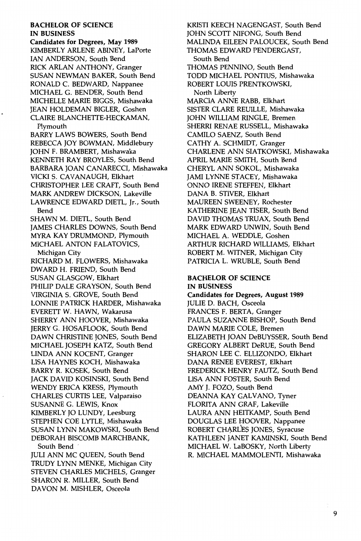BACHELOR OF SCIENCE IN BUSINESS Candidates for Degrees, May 1989

KIMBERLY ARLENE ABINEY, LaPorte IAN ANDERSON, South Bend RICK ARLAN ANTHONY, Granger SUSAN NEWMAN BAKER, South Bend RONALD C. BEDWARD, Nappanee MICHAEL G. BENDER, South Bend MICHELLE MARIE BIGGS, Mishawaka JEAN HOLDEMAN BIGLER, Goshen CLAIRE BLANCHETTE-HECKAMAN, Plymouth BARRY LAWS BOWERS, South Bend REBECCA JOY BOWMAN, Middlebury JOHN F. BRAMBERT, Mishawaka KENNETH RAY BROYLES, South Bend BARBARA JOAN CANARECCI, Mishawaka VICKI S. CAVANAUGH, Elkhart CHRISTOPHER LEE CRAFT, South Bend MARK ANDREW DICKSON, Lakeville LAWRENCE EDWARD DIETL, Jr., South Bend

SHAWN M. DIETL, South Bend JAMES CHARLES DOWNS, South Bend MYRA KAY DRUMMOND, Plymouth MICHAEL ANTON FALATOVICS,

Michigan City RICHARD M. FLOWERS, Mishawaka DWARD H. FRIEND, South Bend SUSAN GLASGOW, Elkhart PHILIP DALE GRAYSON, South Bend VIRGINIA S. GROVE, South Bend LONNIE PATRICK HARDER, Mishawaka EVERETT W. HAWN, Wakarusa SHERRY ANN HOOVER, Mishawaka JERRY G. HOSAFLOOK, South Bend DAWN CHRISTINE JONES, South Bend MICHAEL JOSEPH KATZ, South Bend LINDA ANN KOCENT, Granger LISA HAYNES KOCH, Mishawaka BARRY R. KOSEK, South Bend JACK DAVID KOSINSKI, South Bend WENDY ERICA KRESS, Plymouth CHARLES CURTIS LEE, Valparaiso SUSANNE G. LEWIS, Knox KIMBERLY JO LUNDY, Leesburg STEPHEN COE LYTLE, Mishawaka SUSAN LYNN MAKOWSKI, South Bend DEBORAH BISCOMB MARCHBANK, South Bend

JULIANN MCQUEEN, South Bend TRUDY LYNN MENKE, Michigan City STEVEN CHARLES MICHELS, Granger SHARON R. MILLER, South Bend DAVON M. MISHLER, Osceola

KRIST! KEECH NAGENGAST, South Bend JOHN SCOTT NIFONG, South Bend MALINDA EILEEN PALOUCEK, South Bend THOMAS EDWARD PENDERGAST, South Bend THOMAS PENNINO, South Bend TODD MICHAEL PONTIUS, Mishawaka ROBERT LOUIS PRENTKOWSKI, North Liberty MARCIA ANNE RABB, Elkhart SISTER CLARE REUILLE, Mishawaka JOHN WILLIAM RINGLE, Bremen SHERR! RENAE RUSSELL, Mishawaka CAMILO SAENZ, South Bend CATHY A. SCHMIDT, Granger CHARLENE ANN SIATKOWSKI, Mishawaka APRIL MARIE SMITH, South Bend CHERYL ANN SOKOL, Mishawaka JAMI LYNNE STACEY, Mishawaka ONNO IRENE STEFFEN, Elkhart DANA B. STIVER, Elkhart MAUREEN SWEENEY, Rochester KATHERINE JEAN TISER, South Bend DAVID THOMAS TRUAX, South Bend MARK EDWARD UNWIN, South Bend MICHAEL A. WEDDLE, Goshen ARTHUR RICHARD WILLIAMS, Elkhart ROBERT M. WITNER, Michigan City PATRICIA L. WRUBLE, South Bend

#### BACHELOR OF SCIENCE IN BUSINESS

Candidates for Degrees, August 1989 JULIE D. BACH, Osceola FRANCES F. BERTA, Granger PAULA SUZANNE BISHOP, South Bend DAWN MARIE COLE, Bremen ELIZABETH JOAN DeBUYSSER, South Bend GREGORY ALBERT DeRUE, South Bend SHARON LEE C. ELLIZONDO, Elkhart DANA RENEE EVEREST, Elkhart FREDERICK HENRY FAUTZ, South Bend LISA ANN FOSTER, South Bend AMY J. FOZO, South Bend DEANNA KAY GALVANO, Tyner FLORITA ANN GRAF, Lakeville LAURA ANN HEITKAMP, South Bend DOUGLAS LEE HOOVER, Nappanee ROBERT CHARLES JONES, Syracuse KATHLEEN JANET KAMINSKI, South Bend MICHAEL W. LaBOSKY, North Liberty R. MICHAEL MAMMOLENTI, Mishawaka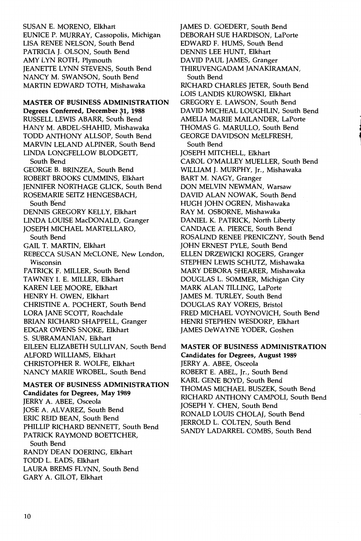SUSAN E. MORENO, Elkhart EUNICE P. MURRAY, Cassopolis, Michigan LISA RENEE NELSON, South Bend PATRICIA J. OLSON, South Bend AMY LYN ROTH, Plymouth JEANETTE LYNN STEVENS, South Bend NANCY M. SWANSON, South Bend MARTIN EDWARD TOTH, Mishawaka

MASTER OF BUSINESS ADMINISTRATION Degrees Conferred, December 31, 1988 RUSSELL LEWIS ABARR, South Bend HANY M. ABDEL-SHAHID, Mishawaka TODD ANTHONY ALLSOP, South Bend MARVIN LELAND ALPINER, South Bend LINDA LONGFELLOW BLODGETT, South Bend GEORGE B. BRINZEA, South Bend ROBERT BROOKS CUMMINS, Elkhart JENNIFER NORTHAGE GLICK, South Bend ROSEMARIE SEITZ HENGESBACH, South Bend DENNIS GREGORY KELLY, Elkhart LINDA LOUISE MacDONALD, Granger JOSEPH MICHAEL MARTELLARO, South Bend GAIL T. MARTIN, Elkhart REBECCA SUSAN McCLONE, New London, Wisconsin PATRICK F. MILLER, South Bend TAWNEY I. E. MILLER, Elkhart KAREN LEE MOORE, Elkhart HENRY H. OWEN, Elkhart CHRISTINE A. POCHERT, South Bend LORA JANE SCOTT, Roachdale BRIAN RICHARD SHAPPELL, Granger EDGAR OWENS SNOKE, Elkhart S. SUBRAMANIAN, Elkhart EILEEN ELIZABETH SULLIVAN, South Bend ALFORD WILLIAMS, Elkhart CHRISTOPHER R. WOLFE, Elkhart NANCY MARIE WROBEL, South Bend

MASTER OF BUSINESS ADMINISTRATION Candidates for Degrees, May 1989 JERRY A. ABEE, Osceola JOSE A. ALVAREZ, South Bend ERIC REID BEAN, South Bend PHILLIP RICHARD BENNETT, South Bend PATRICK RAYMOND BOETTCHER, South Bend RANDY DEAN DOERING, Elkhart TODD L. EADS, Elkhart LAURA BREMS FLYNN, South Bend GARY A. GILOT, Elkhart

JAMES D. GOEDERT, South Bend DEBORAH SUE HARDISON, LaPorte EDWARD F. HUMS, South Bend DENNIS LEE HUNT, Elkhart DAVID PAUL JAMES, Granger THIRUVENGADAM JANAKIRAMAN, South Bend RICHARD CHARLES JETER, South Bend LOIS LANDIS KUROWSKI, Elkhart GREGORY E. LAWSON, South Bend DAVID MICHEAL LOUGHLIN, South Bend AMELIA MARIE MAILANDER, LaPorte THOMAS G. MARULLO, South Bend GEORGE DAVIDSON McELFRESH, South Bend JOSEPH MITCHELL, Elkhart CAROL O'MALLEY MUELLER, South Bend WILLIAM J. MURPHY, Jr., Mishawaka BART M. NAGY, Granger DON MELVIN NEWMAN, Warsaw DAVID ALAN NOWAK, South Bend HUGH JOHN OGREN, Mishawaka RAY M. OSBORNE, Mishawaka DANIEL K. PATRICK, North Liberty CANDACE A. PIERCE, South Bend ROSALIND RENEE PRENICZNY, South Bend JOHN ERNEST PYLE, South Bend ELLEN DRZEWICKI ROGERS, Granger STEPHEN LEWIS SCHUTZ, Mishawaka MARY DEBORA SHEARER, Mishawaka DOUGLAS L. SOMMER, Michigan City MARK ALAN TILLING, LaPorte JAMES M. TURLEY, South Bend DOUGLAS RAY VOREIS, Bristol FRED MICHAEL VOYNOVICH, South Bend HENRI STEPHEN WESDORP, Elkhart JAMES DeWAYNE YODER, Goshen

' J 1

MASTER OF BUSINESS ADMINISTRATION Candidates for Degrees, August 1989 JERRY A. ABEE, Osceola ROBERT E. ABEL, Jr., South Bend KARL GENE BOYD, South Bend THOMAS MICHAEL BUSZEK, South Bend RICHARD ANTHONY CAMPOLI, South Bend JOSEPH Y. CHEN, South Bend RONALD LOUIS CHOLAJ, South Bend JERROLD L. COLTEN, South Bend SANDY LADARREL COMBS, South Bend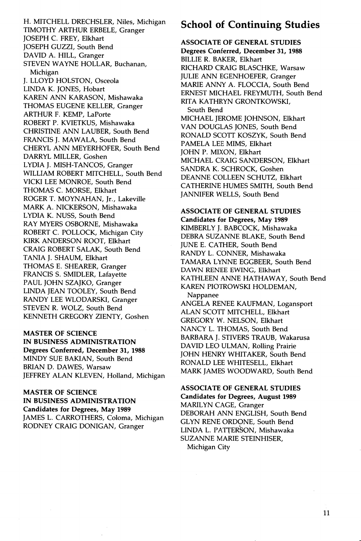H. MITCHELL DRECHSLER, Niles, Michigan TIMOTHY ARTHUR ERBELE, Granger JOSEPH C. FREY, Elkhart JOSEPH GUZZI, South Bend DAVID A. HILL, Granger STEVEN WAYNE HOLLAR, Buchanan, Michigan J. LLOYD HOLSTON, Osceola LINDA K. JONES, Hobart KAREN ANN KARASON, Mishawaka THOMAS EUGENE KELLER, Granger ARTHUR F. KEMP, LaPorte ROBERT P. KVIETKUS, Mishawaka CHRISTINE ANN LAUBER, South Bend FRANCIS J. MAWALA, South Bend CHERYL ANN MEYERHOFER, South Bend DARRYL MILLER, Goshen LYDIA J. MISH-TANCOS, Granger WILLIAM ROBERT MITCHELL, South Bend VICKI LEE MONROE, South Bend THOMAS C. MORSE, Elkhart ROGER T. MOYNAHAN, Jr., Lakeville MARK A. NICKERSON, Mishawaka LYDIA K. NUSS, South Bend RAY MYERS OSBORNE, Mishawaka ROBERT C. POLLOCK, Michigan City KIRK ANDERSON ROOT, Elkhart CRAIG ROBERT SALAK, South Bend TANIA J. SHAUM, Elkhart THOMAS E. SHEARER, Granger FRANCIS S. SMIDLER, Lafayette PAUL JOHN SZAJKO, Granger LINDA JEAN TOOLEY, South Bend RANDY LEE WLODARSKI, Granger STEVEN R. WOLZ, South Bend KENNETH GREGORY ZIENTY, Goshen

MASTER OF SCIENCE IN BUSINESS ADMINISTRATION Degrees Conferred, December 31, 1988 MINDY SUE BAKIAN, South Bend BRIAN D. DAWES, Warsaw JEFFREY ALAN KLEVEN, Holland, Michigan

MASTER OF SCIENCE IN BUSINESS ADMINISTRATION Candidates for Degrees, May 1989 JAMES L. CARROTHERS, Coloma, Michigan RODNEY CRAIG DONIGAN, Granger

## **School of Continuing Studies**

ASSOCIATE OF GENERAL STUDIES Degrees Conferred, December 31, 1988 BILLIE R. BAKER, Elkhart RICHARD CRAIG BLASCHKE, Warsaw JULIE ANN EGENHOEFER, Granger MARIE ANNY A. FLOCCIA, South Bend ERNEST MICHAEL FREYMUTH, South Bend RITA KATHRYN GRONTKOWSKI, South Bend MICHAEL JEROME JOHNSON, Elkhart VAN DOUGLAS JONES, South Bend RONALD SCOTT KOSZYK, South Bend PAMELA LEE MIMS, Elkhart JOHN P. MIXON, Elkhart MICHAEL CRAIG SANDERSON, Elkhart SANDRA K. SCHROCK, Goshen DEANNE COLLEEN SCHUTZ, Elkhart CATHERINE HUMES SMITH, South Bend JANNIFER WELLS, South Bend

ASSOCIATE OF GENERAL STUDIES Candidates for Degrees, May 1989 KIMBERLY J. BABCOCK, Mishawaka DEBRA SUZANNE BLAKE, South Bend JUNE E. CATHER, South Bend RANDY L. CONNER, Mishawaka TAMARA LYNNE EGGBEER, South Bend DAWN RENEE EWING, Elkhart KATHLEEN ANNE HATHAWAY, South Bend KAREN PIOTROWSKI HOLDEMAN, Nappanee

ANGELA RENEE KAUFMAN, Logansport ALAN SCOTT MITCHELL, Elkhart GREGORY W. NELSON, Elkhart NANCY L. THOMAS, South Bend BARBARA J. STIVERS TRAUB, Wakarusa DAVID LEO ULMAN, Rolling Prairie JOHN HENRY WHITAKER, South Bend RONALD LEE WHITESELL, Elkhart MARK JAMES WOODWARD, South Bend

ASSOCIATE OF GENERAL STUDIES Candidates for Degrees, August 1989 MARILYN CAGE, Granger DEBORAH ANN ENGLISH, South Bend GLYN RENE ORDONE, South Bend LINDA L. PATTERSON, Mishawaka SUZANNE MARIE STEINHISER, Michigan City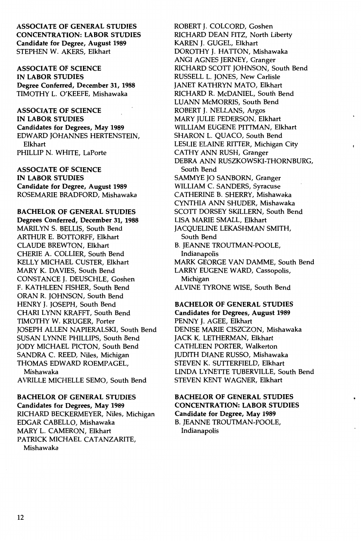ASSOCIATE OF GENERAL STUDIES CONCENTRATION: LABOR STUDIES Candidate for Degree, August 1989 STEPHEN W. AKERS, Elkhart

ASSOCIATE OF SCIENCE IN LABOR STUDIES Degree Conferred, December 31, 1988 TIMOTHY L. O'KEEFE, Mishawaka

ASSOCIATE OF SCIENCE

IN LABOR STUDIES

Candidates for Degrees, May 1989 EDWARD JOHANNES HERTENSTEIN, Elkhart PHILLIP N. WHITE, LaPorte

ASSOCIATE OF SCIENCE IN LABOR STUDIES Candidate for Degree, August 1989 ROSEMARIE BRADFORD, Mishawaka

BACHELOR OF GENERAL STUDIES Degrees Conferred, December 31, 1988

MARILYN S. BELLIS, South Bend ARTHUR E. BOTTORFF, Elkhart CLAUDE BREWTON, Elkhart CHERIE A. COLLIER, South Bend KELLY MICHAEL CUSTER, Elkhart MARY K. DAVIES, South Bend CONSTANCE J. DEUSCHLE, Goshen F. KATHLEEN FISHER, South Bend ORAN R. JOHNSON, South Bend HENRY J. JOSEPH, South Bend CHARI LYNN KRAFFT, South Bend TIMOTHY W. KRUGER, Porter JOSEPH ALLEN NAPIERALSKI, South Bend SUSAN LYNNE PHILLIPS, South Bend JODY MICHAEL PICTON, South Bend SANDRA C. REED, Niles, Michigan THOMAS EDWARD ROEMPAGEL, Mishawaka

AVRILLE MICHELLE SEMO, South Bend

BACHELOR OF GENERAL STUDIES Candidates for Degrees, May 1989 RICHARD BECKERMEYER, Niles, Michigan EDGAR CABELLO, Mishawaka MARY L. CAMERON, Elkhart PATRICK MICHAEL CATANZARITE, Mishawaka

ROBERT J. COLCORD, Goshen RICHARD DEAN FITZ, North Liberty KAREN J. GUGEL, Elkhart DOROTHY J. HATTON, Mishawaka ANGI AGNES JERNEY, Granger RICHARD SCOTT JOHNSON, South Bend RUSSELL L. JONES, New Carlisle JANET KATHRYN MATO, Elkhart RICHARD R. McDANIEL, South Bend LUANN McMORRIS, South Bend ROBERT J. NELLANS, Argos MARY JULIE PEDERSON, Elkhart WILLIAM EUGENE PITTMAN, Elkhart SHARON L. QUACO, South Bend LESLIE ELAINE RITTER, Michigan City CATHY ANN RUSH, Granger DEBRA ANN RUSZKOWSKI-THORNBURG, South Bend SAMMYE JO SANBORN, Granger WILLIAM C. SANDERS, Syracuse CATHERINE B. SHERRY, Mishawaka CYNTHIA ANN SHUDER, Mishawaka SCOTT DORSEY SKILLERN, South Bend LISA MARIE SMALL, Elkhart JACQUELINE LEKASHMAN SMITH, South Bend B. JEANNE TROUTMAN-POOLE, Indianapolis MARK GEORGE VAN DAMME, South Bend LARRY EUGENE WARD, Cassopolis, Michigan AL VINE TYRONE WISE, South Bend

BACHELOR OF GENERAL STUDIES Candidates for Degrees, August 1989 PENNY J. AGEE, Elkhart DENISE MARIE CISZCZON, Mishawaka JACK K. LETHERMAN, Elkhart CATHLEEN PORTER, Walkerton JUDITH DIANE RUSSO, Mishawaka STEVEN K. SUTTERFIELD, Elkhart LINDA LYNETTE TUBERVILLE, South Bend STEVEN KENT WAGNER, Elkhart

BACHELOR OF GENERAL STUDIES CONCENTRATION: LABOR STUDIES Candidate for Degree, May 1989 B. JEANNE TROUTMAN-POOLE, Indianapolis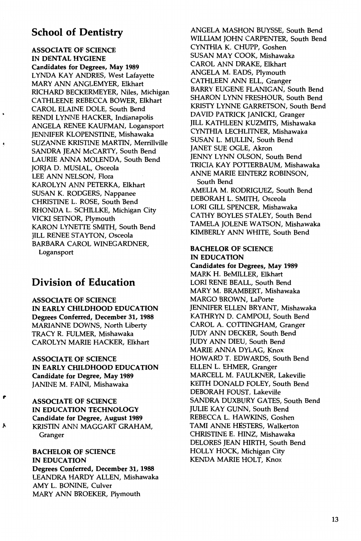### **School of Dentistry**

ASSOCIATE OF SCIENCE IN DENTAL HYGIENE Candidates for Degrees, May 1989 LYNDA KAY ANDRES, West Lafayette MARY ANN ANGLEMYER, Elkhart RICHARD BECKERMEYER, Niles, Michigan CATHLEENE REBECCA BOWER, Elkhart CAROL ELAINE DOLE, South Bend REND! LYNNE HACKER, Indianapolis ANGELA RENEE KAUFMAN, Logansport JENNIFER KLOPENSTINE, Mishawaka SUZANNE KRISTINE MARTIN, Merrillville SANDRA JEAN McCARTY, South Bend LAURIE ANNA MOLENDA, South Bend JORJA D. MUSIAL, Osceola LEE ANN NELSON, Flora KAROLYN ANN PETERKA, Elkhart SUSAN K. RODGERS, Nappanee CHRISTINE L. ROSE, South Bend RHONDA L. SCHILLKE, Michigan City VICKI SETNOR, Plymouth KARON LYNETTE SMITH, South Bend JILL RENEE STAYTON, Osceola BARBARA CAROL WINEGARDNER, Logansport

## **Division of Education**

ASSOCIATE OF SCIENCE IN EARLY CHILDHOOD EDUCATION Degrees Conferred, December 31, 1988 MARIANNE DOWNS, North Liberty TRACY R. FULMER, Mishawaka CAROLYN MARIE HACKER, Elkhart

ASSOCIATE OF SCIENCE IN EARLY CHILDHOOD EDUCATION Candidate for Degree, May 1989 JANINE M. FAIN!, Mishawaka

ASSOCIATE OF SCIENCE IN EDUCATION TECHNOLOGY Candidate for Degree, August 1989 KRISTIN ANN MAGGART GRAHAM, Granger

,.

٠

"

BACHELOR OF SCIENCE IN EDUCATION Degrees Conferred, December 31, 1988 LEANDRA HARDY ALLEN, Mishawaka AMY L. BONINE, Culver MARY ANN BROEKER, Plymouth

ANGELA MASHON BUYSSE, South Bend WILLIAM JOHN CARPENTER, South Bend CYNTHIA K. CHUPP, Goshen SUSAN MAY COOK, Mishawaka CAROL ANN DRAKE, Elkhart ANGELA M. EADS, Plymouth CATHLEEN ANN ELL, Granger BARRY EUGENE FLANIGAN, South Bend SHARON LYNN FRESHOUR, South Bend KRISTY LYNNE GARRETSON, South Bend DAVID PATRICK JANICKI, Granger JILL KATHLEEN KUZMITS, Mishawaka CYNTHIA LECHLITNER, Mishawaka SUSAN L. MULLIN, South Bend JANET SUE OGLE, Akron JENNY LYNN OLSON, South Bend TRICIA KAY POTTERBAUM, Mishawaka ANNE MARIE EINTERZ ROBINSON, South Bend AMELIA M. RODRIGUEZ, South Bend DEBORAH L. SMITH, Osceola LORI GILL SPENCER, Mishawaka CATHY BOYLES STALEY, South Bend TAMELA JOLENE WATSON, Mishawaka KIMBERLY ANN WHITE, South Bend

#### BACHELOR OF SCIENCE IN EDUCATION

Candidates for Degrees, May 1989 MARK H. BeMILLER, Elkhart LORI RENE BEALL, South Bend MARY M. BRAMBERT, Mishawaka MARGO BROWN, LaPorte JENNIFER ELLEN BRYANT, Mishawaka KATHRYN D. CAMPOLI, South Bend CAROL A. COTTINGHAM, Granger JUDY ANN DECKER, South Bend JUDY ANN DIEU, South Bend MARIE ANNA DYLAG, Knox HOWARD T. EDWARDS, South Bend ELLEN L. EHMER, Granger MARCELL M. FAULKNER, Lakeville KEITH DONALD FOLEY, South Bend DEBORAH FOUST, Lakeville SANDRA DUXBURY GATES, South Bend JULIE KAY GUNN, South Bend REBECCA L. HAWKINS, Goshen TAMI ANNE HESTERS, Walkerton CHRISTINE E. HINZ, Mishawaka DELORES JEAN HIRTH, South Bend HOLLY HOCK, Michigan City KENDA MARIE HOLT, Knox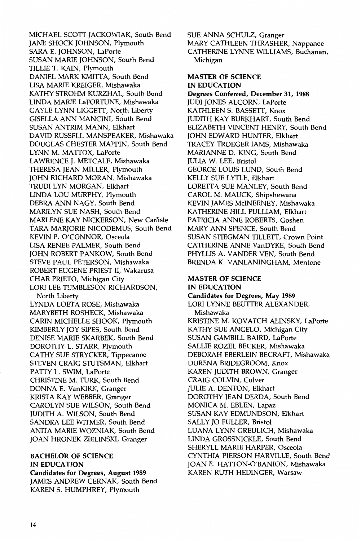MICHAEL SCOTT JACKOWIAK, South Bend JANE SHOCK JOHNSON, Plymouth SARA E. JOHNSON, LaPorte SUSAN MARIE JOHNSON, South Bend TILLIE T. KAIN, Plymouth DANIEL MARK KMITTA, South Bend LISA MARIE KREIGER, Mishawaka KATHY STROHM KURZHAL, South Bend LINDA MARIE LaFORTUNE, Mishawaka GAYLE LYNN LIGGETT, North Liberty GISELLA ANN MANCINI, South Bend SUSAN ANTRIM MANN, Elkhart DAVID RUSSELL MANSPEAKER, Mishawaka DOUGLAS CHESTER MAPPIN, South Bend LYNN M. MATTOX, LaPorte LAWRENCE J. METCALF, Mishawaka THERESA JEAN MILLER, Plymouth JOHN RICHARD MORAN, Mishawaka TRUDI LYN MORGAN, Elkhart LINDA LOU MURPHY, Plymouth DEBRA ANN NAGY, South Bend MARILYN SUE NASH, South Bend MARLENE KAY NICKERSON, New Carlisle TARA MARJORIE NICODEMUS, South Bend KEVIN P. O'CONNOR, Osceola LISA RENEE PALMER, South Bend JOHN ROBERT PANKOW, South Bend STEVE PAUL PETERSON, Mishawaka ROBERT EUGENE PRIEST II, Wakarusa CHAR PRIETO, Michigan City LORI LEE TUMBLESON RICHARDSON, North Liberty LYNDA LOETA ROSE, Mishawaka MARYBETH ROSHECK, Mishawaka CARIN MICHELLE SHOOK, Plymouth KIMBERLY JOY SIPES, South Bend DENISE MARIE SKARBEK, South Bend DOROTHY L. STARR, Plymouth CATHY SUE STRYCKER, Tippecanoe STEVEN CRAIG STUTSMAN, Elkhart PATTY L. SWIM, LaPorte CHRISTINE M. TURK, South Bend DONNA E. VanKIRK, Granger KRISTA KAY WEBBER, Granger CAROLYN SUE WILSON, South Bend JUDITH A. WILSON, South Bend SANDRA LEE WITMER, South Bend ANITA MARIE WOZNIAK, South Bend JOAN HRONEK ZIELINSKI, Granger

#### BACHELOR OF SCIENCE IN EDUCATION Candidates for Degrees, August 1989

JAMES ANDREW CERNAK, South Bend KAREN S. HUMPHREY, Plymouth

SUE ANNA SCHULZ, Granger MARY CATHLEEN THRASHER, Nappanee CATHERINE LYNNE WILLIAMS, Buchanan, Michigan

#### MASTER OF SCIENCE IN EDUCATION

Degrees Conferred, December 31, 1988 JUDI JONES ALCORN, LaPorte KATHLEEN S. BASSETT, Knox JUDITH KAY BURKHART, South Bend ELIZABETH VINCENT HENRY, South Bend JOHN EDWARD HUNTER, Elkhart TRACEY TROEGER lAMS, Mishawaka MARIANNE D. KING, South Bend JULIA W. LEE, Bristol GEORGE LOUIS LUND, South Bend KELLY SUE LYTLE, Elkhart LORETTA SUE MANLEY, South Bend CAROL M. MAUCK, Shipshewana KEVIN JAMES MciNERNEY, Mishawaka KATHERINE HILL PULLIAM, Elkhart PATRICIA ANNE ROBERTS, Goshen MARY ANN SPENCE, South Bend SUSAN STIEGMAN TILLETT, Crown Point CATHERINE ANNE VanDYKE, South Bend PHYLLIS A. VANDER VEN, South Bend BRENDA K. VANLANINGHAM, Mentone

#### MASTER OF SCIENCE IN EDUCATION

Candidates for Degrees, May 1989 LORI LYNNE BEUTTER ALEXANDER, Mishawaka KRISTINE M. KOVATCH ALINSKY, LaPorte KATHY SUE ANGELO, Michigan City SUSAN GAMBILL BAIRD, LaPorte SALLIE ROZEL BECKER, Mishawaka DEBORAH EBERLEIN BECRAFT, Mishawaka DURENA BRIDEGROOM, Knox KAREN JUDITH BROWN, Granger CRAIG COLVIN, Culver JULIE A. DENTON, Elkhart DOROTHY JEAN DERDA, South Bend MONICA M. EBLEN, Lapaz SUSAN KAY EDMUNDSON, Elkhart SALLY JO FULLER, Bristol LUANA LYNN GREULICH, Mishawaka LINDA GROSSNICKLE, South Bend SHERYLL MARIE HARPER, Osceola CYNTHIA PIERSON HARVILLE, South Bend JOAN E. HATTON-O'BANION, Mishawaka KAREN RUTH HEDINGER, Warsaw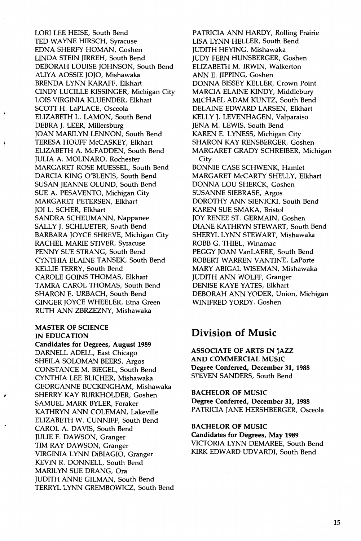LORI LEE HEISE, South Bend TED WAYNE HIRSCH, Syracuse EDNA SHERFY HOMAN, Goshen LINDA STEIN JIRREH, South Bend DEBORAH LOUISE JOHNSON, South Bend ALlY A AOSSIE JOJO, Mishawaka BRENDA LYNN KARAFF, Elkhart CINDY LUCILLE KISSINGER, Michigan City LOIS VIRGINIA KLUENDER, Elkhart SCOTT H. LaPLACE, Osceola ELIZABETH L. LAMON, South Bend DEBRA J. LEER, Millersburg JOAN MARILYN LENNON, South Bend TERESA HOUFF McCASKEY, Elkhart ELIZABETH A. McFADDEN, South Bend JULIA A. MOLINARO, Rochester MARGARET ROSE MUESSEL, South Bend DARCIA KING O'BLENIS, South Bend SUSAN JEANNE OLUND, South Bend SUE A. PESAVENTO, Michigan City MARGARET PETERSEN, Elkhart JOI L. SCHER, Elkhart SANDRA SCHEUMANN, Nappanee SALLY J. SCHLUETER, South Bend BARBARA JOYCE SHREVE, Michigan City RACHEL MARIE STIVER, Syracuse PENNY SUE STRANG, South Bend CYNTHIA ELAINE TANSEK, South Bend KELLIE TERRY, South Bend CAROLE GOINS THOMAS, Elkhart TAMRA CAROL THOMAS, South Bend SHARON E. URBACH, South Bend GINGER JOYCE WHEELER, Etna Green RUTH ANN ZBRZEZNY, Mishawaka

#### MASTER OF SCIENCE IN EDUCATION

Candidates for Degrees, August 1989 DARNELL ADELL, East Chicago SHEILA SOLOMAN BEERS, Argos CONSTANCE M. BIEGEL, South Bend CYNTHIA LEE BUCHER, Mishawaka GEORGANNE BUCKINGHAM, Mishawaka SHERRY KAY BURKHOLDER, Goshen SAMUEL MARK BYLER, Foraker KATHRYN ANN COLEMAN, Lakeville ELIZABETH W. CUNNIFF, South Bend CAROL A. DAVIS, South Bend JULIE F. DAWSON, Granger TIM RAY DAWSON, Granger VIRGINIA LYNN DiBIAGIO, Granger KEVIN R. DONNELL, South Bend MARILYN SUE ORANG, Ora JUDITH ANNE GILMAN, South Bend TERRYL LYNN GREMBOWICZ, South Bend PATRICIA ANN HARDY, Rolling Prairie LISA LYNN HELLER, South Bend JUDITH HEYING, Mishawaka JUDY FERN HUNSBERGER, Goshen ELIZABETH M. IRWIN, Walkerton ANN E. JIPPING, Goshen DONNA BISSEY KELLER, Crown Point MARCIA ELAINE KINDY, Middlebury MICHAEL ADAM KUNTZ, South Bend DELAINE EDWARD LARSEN, Elkhart KELLY J. LEVENHAGEN, Valparaiso JENA M. LEWIS, South Bend KAREN E. LYNESS, Michigan City SHARON KAY RENSBERGER, Goshen MARGARET GRADY SCHREIBER, Michigan City BONNIE CASE SCHWENK, Hamlet MARGARET McCARTY SHELLY, Elkhart DONNA LOU SHERCK, Goshen SUSANNE SIEBRASE, Argos DOROTHY ANN SIENICKI, South Bend KAREN SUE SMAKA, Bristol JOY RENEE ST. GERMAIN, Goshen DIANE KATHRYN STEWART, South Bend SHERYL LYNN STEWART, Mishawaka ROBB G. THIEL, Winamac PEGGY JOAN VanLAERE, South Bend ROBERT WARREN VANTINE, LaPorte MARY ABIGAL WISEMAN, Mishawaka JUDITH ANN WOLFF, Granger DENISE KAYE YATES, Elkhart DEBORAH ANN YODER, Union, Michigan WINIFRED YORDY, Goshen

### **Division of Music**

ASSOCIATE OF ARTS IN JAZZ AND COMMERCIAL MUSIC Degree Conferred, December 31, 1988 STEVEN SANDERS, South Bend

BACHELOR OF MUSIC Degree Conferred, December 31, 1988 PATRICIA JANE HERSHBERGER, Osceola

BACHELOR OF MUSIC Candidates for Degrees, May 1989 VICTORIA LYNN DEMAREE, South Bend KIRK EDWARD UDV ARDI, South Bend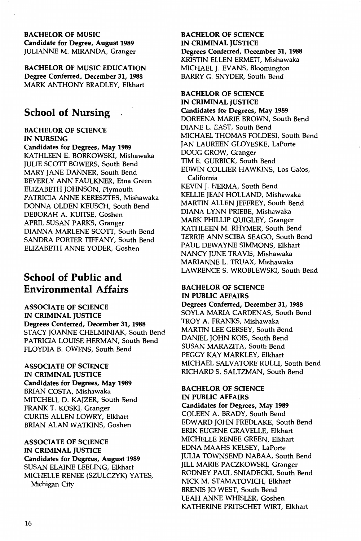#### BACHELOR OF MUSIC Candidate for Degree, August 1989 JULIANNE M. MIRANDA, Granger

BACHELOR OF MUSIC EDUCATION Degree Conferred, December 31, 1988 MARK ANTHONY BRADLEY, Elkhart

## **School of Nursing**

#### BACHELOR OF SCIENCE IN NURSING

Candidates for Degrees, May 1989 KATHLEEN E. BORKOWSKI, Mishawaka JULIE SCOTT BOWERS, South Bend MARY JANE DANNER, South Bend BEVERLY ANN FAULKNER, Etna Green ELIZABETH JOHNSON, Plymouth PATRICIA ANNE KERESZTES, Mishawaka DONNA OLDEN KEUSCH, South Bend DEBORAH A. KUITSE, Goshen APRIL SUSAN PARKS, Granger DIANNA MARLENE SCOTT, South Bend SANDRA PORTER TIFFANY, South Bend ELIZABETH ANNE YODER, Goshen

## **School of Public and Environmental Affairs**

ASSOCIATE OF SCIENCE IN CRIMINAL JUSTICE Degrees Conferred, December 31, 1988 STACY JOANNE CHELMINIAK, South Bend PATRICIA LOUISE HERMAN, South Bend FLOYDIA B. OWENS, South Bend

#### ASSOCIATE OF SCIENCE IN CRIMINAL JUSTICE Candidates for Degrees, May 1989 BRIAN COSTA, Mishawaka MITCHELL D. KAJZER, South Bend FRANK T. KOSKI, Granger CURTIS ALLEN LOWRY, Elkhart BRIAN ALAN WATKINS, Goshen

ASSOCIATE OF SCIENCE IN CRIMINAL JUSTICE Candidates for Degrees, August 1989 SUSAN ELAINE LEELING, Elkhart MICHELLE RENEE (SZULCZVK) YATES, Michigan City

#### BACHELOR OF SCIENCE IN CRIMINAL IUSTICE Degrees Conferred, December 31, 1988 KRISTIN ELLEN ERMETI, Mishawaka MICHAEL J. EVANS, Bloomington BARRY G. SNYDER, South Bend

### BACHELOR OF SCIENCE IN CRIMINAL JUSTICE

Candidates for Degrees, May 1989 DOREENA MARIE BROWN, South Bend DIANE L. EAST, South Bend MICHAEL THOMAS FOLDES!, South Bend JAN LAUREEN GLOYESKE, LaPorte DOUG GROW, Granger TIM E. GURBICK, South Bend EDWIN COLLIER HAWKINS, Los Gatos, California KEVIN J. HERMA, South Bend KELLIE JEAN HOLLAND, Mishawaka MARTIN ALLEN JEFFREY, South Bend DIANA LYNN PRIEBE, Mishawaka MARK PHILLIP QUIGLEY, Granger KATHLEEN M. RHYMER, South Bend TERRIE ANN SCIBA SEAGO, South Bend PAUL DEWAYNE SIMMONS, Elkhart NANCY JUNE TRAVIS, Mishawaka MARIANNE L. TRUAX, Mishawaka LAWRENCE S. WROBLEWSKI, South Bend

#### BACHELOR OF SCIENCE IN PUBLIC AFFAIRS

Degrees Conferred, December 31, 1988 SOYLA MARIA CARDENAS, South Bend TROY A. FRANKS, Mishawaka MARTIN LEE GERSEY, South Bend DANIEL JOHN KOIS, South Bend SUSAN MARAZITA, South Bend PEGGY KAY MARKLEY, Elkhart MICHAEL SALVATORE RULLI, South Bend RICHARD S. SALTZMAN, South Bend

#### BACHELOR OF SCIENCE IN PUBLIC AFFAIRS

Candidates for Degrees, May 1989 COLEEN A. BRADY, South Bend EDWARD JOHN FREDLAKE, South Bend ERIK EUGENE GRAVELLE, Elkhart MICHELLE RENEE GREEN, Elkhart EDNA MAAHS KELSEY, LaPorte JULIA TOWNSEND NABAA, South Bend JILL MARIE PACZKOWSKI, Granger RODNEY PAUL SNIADECKI, South Bend NICK M. STAMATOVICH, Elkhart BRENIS JO WEST, South Bend LEAH ANNE WHISLER, Goshen KATHERINE PRITSCHET WIRT, Elkhart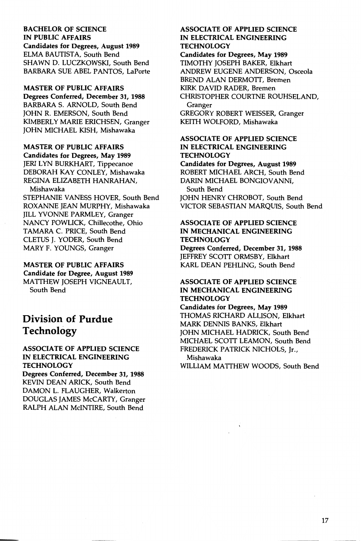BACHELOR OF SCIENCE IN PUBLIC AFFAIRS Candidates for Degrees, August 1989 ELMA BAUTISTA, South Bend SHAWN D. LUCZKOWSKI, South Bend BARBARA SUE ABEL PANTOS, LaPorte

MASTER OF PUBLIC AFFAIRS Degrees Conferred, December 31, 1988 BARBARA S. ARNOLD, South Bend JOHN R. EMERSON, South Bend KIMBERLY MARIE ERICHSEN, Granger JOHN MICHAEL KISH, Mishawaka

MASTER OF PUBLIC AFFAIRS Candidates for Degrees, May 1989 JERILYN BURKHART, Tippecanoe DEBORAH KAY CONLEY, Mishawaka REGINA ELIZABETH HANRAHAN, Mishawaka STEPHANIE VANESS HOVER, South Bend

ROXANNE JEAN MURPHY, Mishawaka JILL YVONNE PARMLEY, Granger NANCY POWLICK, Chillecothe, Ohio TAMARA C. PRICE, South Bend CLETUS J. YODER, South Bend MARY F. YOUNGS, Granger

MASTER OF PUBLIC AFFAIRS Candidate for Degree, August 1989 MATTHEW JOSEPH VIGNEAULT, South Bend

## **Division of Purdue Technology**

#### ASSOCIATE OF APPLIED SCIENCE IN ELECTRICAL ENGINEERING **TECHNOLOGY**

Degrees Conferred, December 31, 1988 KEVIN DEAN ARICK, South Bend DAMON L. FLAUGHER, Walkerton DOUGLAS JAMES McCARTY, Granger RALPH ALAN MciNTIRE, South Bend

#### ASSOCIATE OF APPLIED SCIENCE IN ELECTRICAL ENGINEERING **TECHNOLOGY**

Candidates for Degrees, May 1989 TIMOTHY JOSEPH BAKER, Elkhart ANDREW EUGENE ANDERSON, Osceola BREND ALAN DERMOTT, Bremen KIRK DAVID RADER, Bremen CHRISTOPHER COURTNE ROUHSELAND, Granger GREGORY ROBERT WEISSER, Granger

KEITH WOLFORD, Mishawaka

#### ASSOCIATE OF APPLIED SCIENCE IN ELECTRICAL ENGINEERING **TECHNOLOGY**

Candidates for Degrees, August 1989 ROBERT MICHAEL ARCH, South Bend DARIN MICHAEL BONGIOVANNI, South Bend JOHN HENRY CHROBOT, South Bend VICTOR SEBASTIAN MARQUIS, South Bend

#### ASSOCIATE OF APPLIED SCIENCE IN MECHANICAL ENGINEERING TECHNOLOGY

Degrees Conferred, December 31, 1988 JEFFREY SCOTT ORMSBY, Elkhart KARL DEAN PEHLING, South Bend

#### ASSOCIATE OF APPLIED SCIENCE IN MECHANICAL ENGINEERING **TECHNOLOGY**

Candidates for Degrees, May 1989 THOMAS RICHARD ALLISON, Elkhart MARK DENNIS BANKS, Elkhart JOHN MICHAEL HADRICK, South Bend MICHAEL SCOTT LEAMON, South Bend FREDERICK PATRICK NICHOLS, Jr., Mishawaka WILLIAM MATTHEW WOODS, South Bend